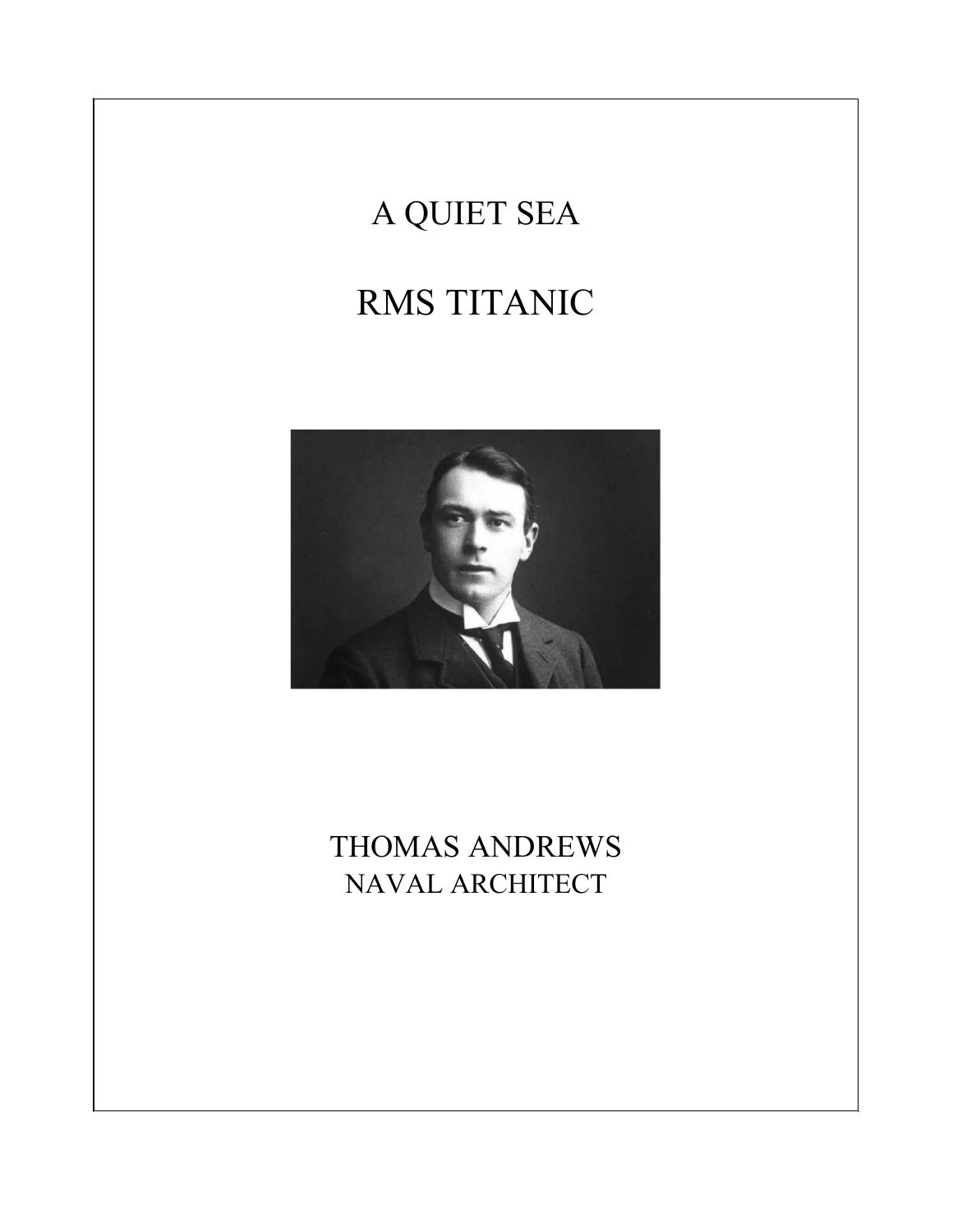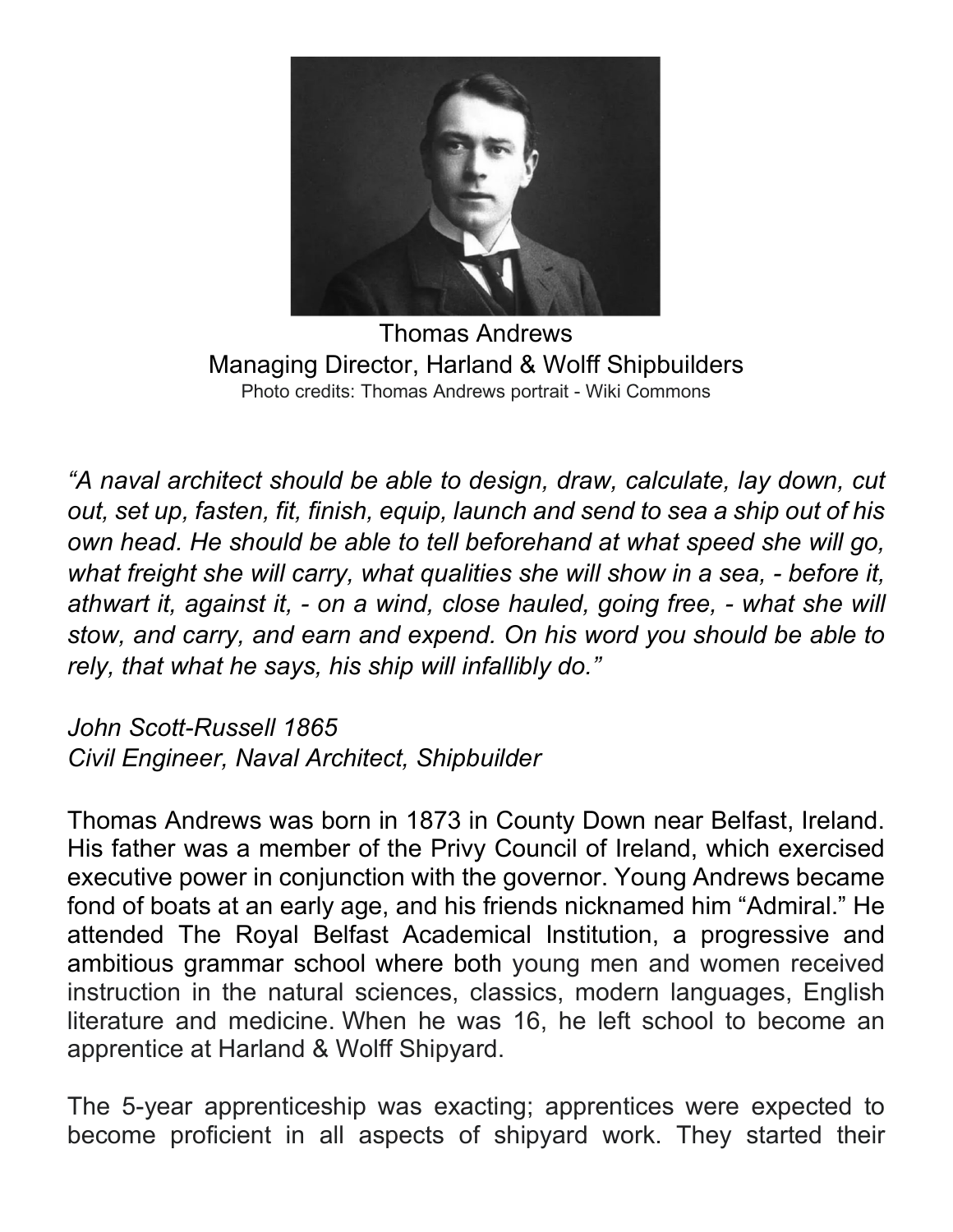

Thomas Andrews Managing Director, Harland & Wolff Shipbuilders Photo credits: Thomas Andrews portrait - Wiki Commons

*"A naval architect should be able to design, draw, calculate, lay down, cut out, set up, fasten, fit, finish, equip, launch and send to sea a ship out of his own head. He should be able to tell beforehand at what speed she will go, what freight she will carry, what qualities she will show in a sea, - before it, athwart it, against it, - on a wind, close hauled, going free, - what she will stow, and carry, and earn and expend. On his word you should be able to rely, that what he says, his ship will infallibly do."*

*John Scott-Russell 1865 Civil Engineer, Naval Architect, Shipbuilder*

Thomas Andrews was born in 1873 in County Down near Belfast, Ireland. His father was a member of the Privy Council of Ireland, which exercised executive power in conjunction with the governor. Young Andrews became fond of boats at an early age, and his friends nicknamed him "Admiral." He attended The Royal Belfast Academical Institution, a progressive and ambitious grammar school where both young men and women received instruction in the natural sciences, classics, modern languages, English literature and medicine. When he was 16, he left school to become an apprentice at Harland & Wolff Shipyard.

The 5-year apprenticeship was exacting; apprentices were expected to become proficient in all aspects of shipyard work. They started their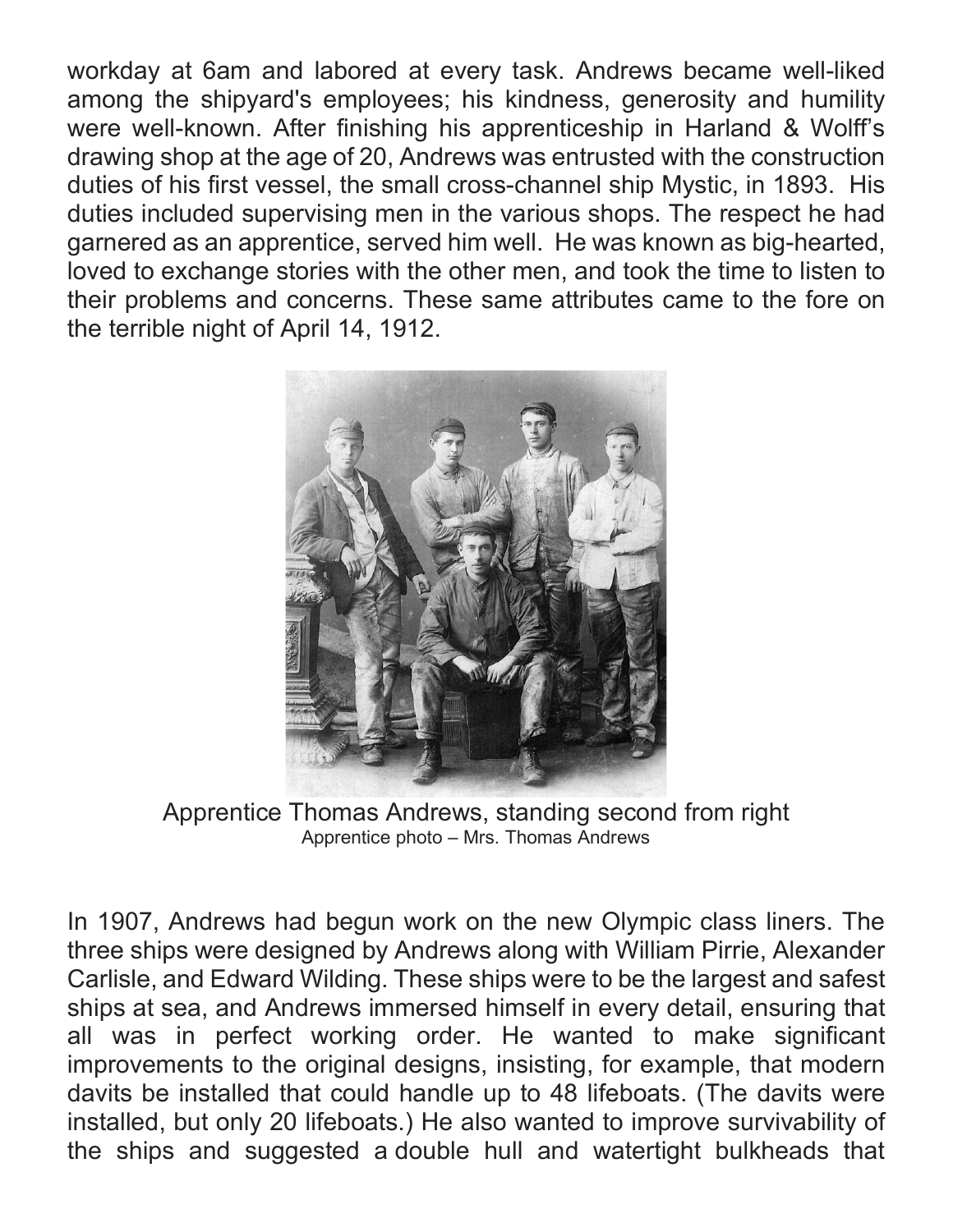workday at 6am and labored at every task. Andrews became well-liked among the shipyard's employees; his kindness, generosity and humility were well-known. After finishing his apprenticeship in Harland & Wolff's drawing shop at the age of 20, Andrews was entrusted with the construction duties of his first vessel, the small cross-channel ship Mystic, in 1893. His duties included supervising men in the various shops. The respect he had garnered as an apprentice, served him well. He was known as big-hearted, loved to exchange stories with the other men, and took the time to listen to their problems and concerns. These same attributes came to the fore on the terrible night of April 14, 1912.



Apprentice Thomas Andrews, standing second from right Apprentice photo – Mrs. Thomas Andrews

In 1907, Andrews had begun work on the new Olympic class liners. The three ships were designed by Andrews along with William Pirrie, Alexander Carlisle, and Edward Wilding. These ships were to be the largest and safest ships at sea, and Andrews immersed himself in every detail, ensuring that all was in perfect working order. He wanted to make significant improvements to the original designs, insisting, for example, that modern davits be installed that could handle up to 48 lifeboats. (The davits were installed, but only 20 lifeboats.) He also wanted to improve survivability of the ships and suggested a double hull and watertight bulkheads that